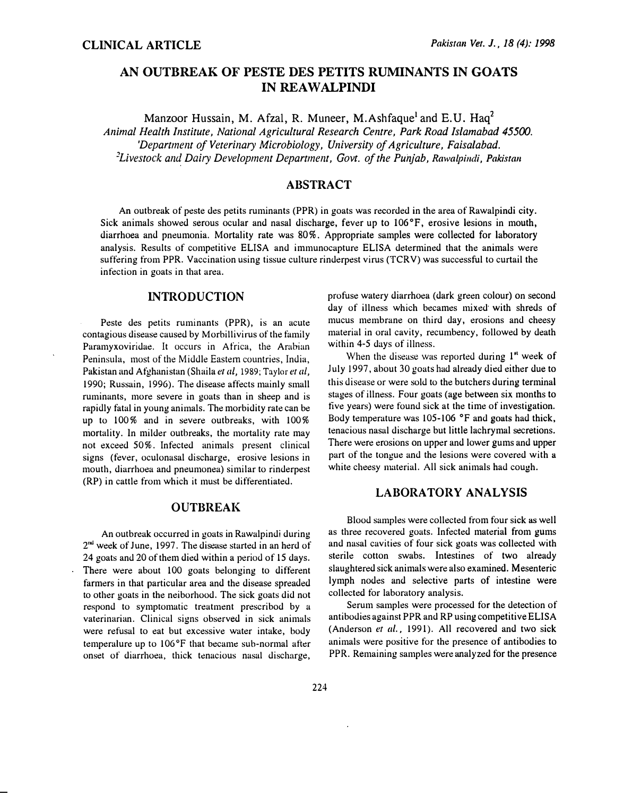# AN OUTBREAK OF PESTE DES PETITS RUMINANTS IN GOATS IN REAWALPINDI

Manzoor Hussain, M. Afzal, R. Muneer, M. Ashfaque<sup>1</sup> and E.U. Haq<sup>2</sup> Animal Health Institute, National Agricultural Research Centre, Park Road Islamabad 45500. 'Department of Veterinary Microbiology, University of Agriculture, Faisalabad. <sup>2</sup> Livestock and Dairy Development Department, Govt. of the Punjab, Rawalpindi, Pakistan

## **ABSTRACT**

An outbreak of peste des petits ruminants (PPR) in goats was recorded in the area of Rawalpindi city. Sick animals showed serous ocular and nasal discharge, fever up to 106°F, erosive lesions in mouth, diarrhoea and pneumonia. Mortality rate was 80%. Appropriate samples were collected for laboratory analysis. Results of competitive ELISA and immunocapture ELISA determined that the animals were suffering from PPR. Vaccination using tissue culture rinderpest virus (TCRV) was successful to curtail the infection in goats in that area.

### INTRODUCTION

Peste des petits ruminants (PPR), is an acute contagious disease caused by Morbillivirus of the family Paramyxoviridae. It occurs in Africa, the Arabian Peninsula, most of the Middle Eastem countries, India, Pakistan and Afghanistan (Shaila et al, 1989; Taylor et al, 1990; Russain, 1996). The disease affects mainly small ruminants, more severe in goats than in sheep and is rapidly fatal in young animals. The morbidity rate can be up to 100% and in severe outbreaks, with 100% mortality. In milder outbreaks, the mortality rate may not exceed 50%. Infected animals present clinical signs (fever, oculonasal discharge, erosive lesions in mouth, diarrhoea and pneumonea) similar to rinderpest (RP) in cattle from which it must be differentiated.

## **OUTBREAK**

An outbreak occurred in goats in Rawalpindi during 2<sup>nd</sup> week of June, 1997. The disease started in an herd of 24 goats and 20 of them died within a period of 15 days. There were about 100 goats belonging to different farmers in that particular area and the disease spreaded to other goats in the neiborhood. The sick goats did not respond to symptomatic treatment prescribod by a vaterinarian. Clinical signs observed in sick animals were refusal to eat but excessive water intake, body temperature up to 106°F that became sub-normal after onset of diarrhoea, thick tenacious nasal discharge, profuse watery diarrhoea (dark green colour) on second day of illness which becames mixed with shreds of mucus membrane on third day, erosions and cheesy material in oral cavity, recumbency, followed by death within 4-5 days of illness.

When the disease was reported during  $1<sup>st</sup>$  week of July 1997, about 30 goats had already died either due to this disease or were sold to the butchers during terminal stages of illness. Four goats (age between six months to tive years) were found sick at the time of investigation. Body temperature was 105-106 °F and goats had thick, tenacious nasal discharge but little lachrymal secretions. There were erosions on upper and lower gums and upper part of the tongue and the lesions were covered with a white cheesy material. All sick animals had cough.

# LABORATORY ANALYSIS

Blood samples were collected from four sick as well as three recovered goats. Infected material from gums and nasal cavities of four sick goats was collected with sterile cotton swabs. Intestines of two already slaughtered sick animals were also examined. Mesenteric lymph nodes and selective parts of intestine were collected for laboratory analysis.

Serum samples were processed for the detection of antibodies against PPR and RP using competitive ELISA (Anderson et al., 1991). All recovered and two sick animals were positive for the presence of antibodies to PPR. Remaining samples were analyzed for the presence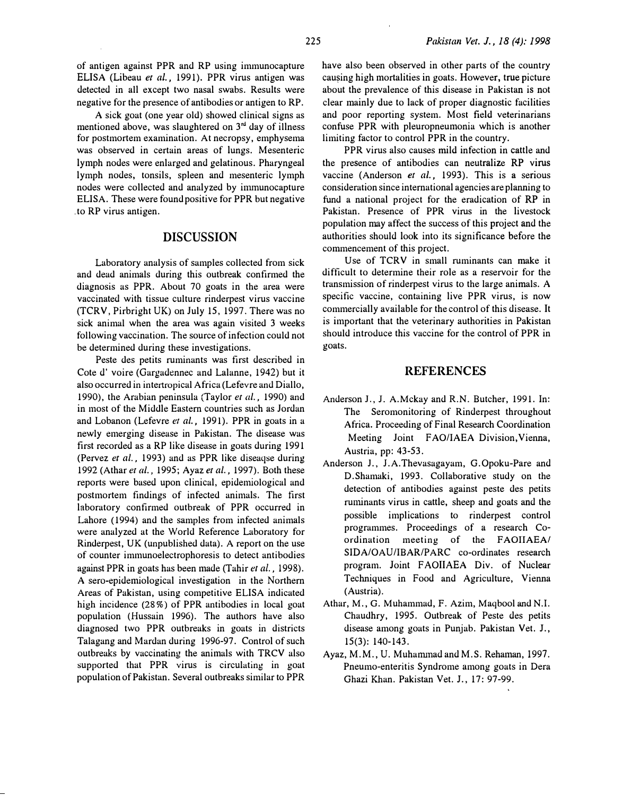of antigen against PPR and RP using immunocapture ELISA (Libeau et al., 1991). PPR virus antigen was detected in all except two nasal swabs. Results were negative for the presence of antibodies or antigen to RP.

A sick goat (one year old) showed clinical signs as mentioned above, was slaughtered on  $3<sup>rd</sup>$  day of illness for postmortem examination. At necropsy, emphysema was observed in certain areas of lungs. Mesenteric lymph nodes were enlarged and gelatinous. Pharyngeal lymph nodes, tonsils, spleen and mesenteric lymph nodes were collected and analyzed by inununocapture ELISA. These were found positive for PPR but negative . to RP virus antigen.

#### DISCUSSION

Laboratory analysis of samples collected from sick and dead animals during this outbreak confirmed the diagnosis as PPR. About 70 goats in the area were vaccinated with tissue culture rinderpest virus vaccine (TCRV, Pirbright UK) on July 15, 1997. There was no sick animal when the area was again visited 3 weeks following vaccination. The source of infection could not be determined during these investigations.

Peste des petits ruminants was first described in Cote d' voire (Gargadennec and Lalanne, 1942) but it also occurred in intertropical Africa (Lefevre and Diallo, 1990), the Arabian peninsula (Taylor et al., 1990) and in most of the Middle Eastern countries such as Jordan and Lobanon (Lefevre et al., 1991). PPR in goats in a newly emerging disease in Pakistan. The disease was first recorded as a RP like disease in goats during 1991 (Pervez et al., 1993) and as PPR like diseaqse during 1992 (Athar et al., 1995; Ayaz et al., 1997). Both these reports were based upon clinical, epidemiological and postmortem findings of infected animals. The first laboratory confirmed outbreak of PPR occurred in Lahore ( 1994) and the samples from infected animals were analyzed at the World Reference Laboratory for Rinderpest, UK (unpublished data). A report on the use of counter immunoelectrophoresis to detect antibodies against PPR in goats has been made (Tahir et al., 1998). A sero-epidemiological investigation in the Northern Areas of Pakistan, using competitive ELISA indicated high incidence (28%) of PPR antibodies in local goat population (Hussain 1996). The authors have also diagnosed two PPR outbreaks in goats in districts Talagang and Mardan during 1996-97. Control of such outbreaks by vaccinating the animals with TRCV also supported that PPR virus is circulating in goat population of Pakistan. Several outbreaks similar to PPR

have also been observed in other parts of the country causing high mortalities in goats. However, true picture about the prevalence of this disease in Pakistan is not clear mainly due to lack of proper diagnostic facilities and poor reporting system. Most field veterinarians confuse PPR with pleuropneumonia which is another limiting factor to control PPR in the country.

PPR virus also causes mild infection in cattle and the presence of antibodies can neutralize RP virus vaccine (Anderson et al., 1993). This is a serious consideration since international agencies are planning to fund a national project for the eradication of RP in Pakistan. Presence of PPR virus in the livestock population may affect the success of this project and the authorities should look into its significance before the commencement of this project.

Use of TCRV in small ruminants can make it difficult to determine their role as a reservoir for the transmission of rinderpest virus to the large animals. A specific vaccine, containing live PPR virus, is now commercially available for the control of this disease. It is important that the veterinary authorities in Pakistan should introduce this vaccine for the control of PPR in goats.

#### REFERENCES

- Anderson J., 1. A.Mckay and R.N. Butcher, 1991. In: The Seromonitoring of Rinderpest throughout Africa. Proceeding of Final Research Coordination Meeting Joint FAO/IAEA Division, Vienna, Austria, pp: 43-53.
- Anderson J., J.A.Thevasagayam, G.Opoku-Pare and D.Shamaki, 1993. Collaborative study on the detection of antibodies against peste des petits ruminants virus in cattle, sheep and goats and the possible implications to rinderpest control programmes. Proceedings of a research Coordination meeting of the FAOIIAEA/ SIDA/OAU/IBAR/PARC co-ordinates research program. Joint F AOIIAEA Div. of Nuclear Techniques in Food and Agriculture, Vienna (Austria).
- Athar, M., G. Muhammad, F. Azim, Maqbool and N.I. Chaudhry, 1995. Outbreak of Peste des petits disease among goats in Punjab. Pakistan Vet. J., 15(3): 140-143.
- Ayaz, M.M., U. Muhanunad and M.S. Rehaman, 1997. Pneumo-enteritis Syndrome among goats in Dera Ghazi Khan. Pakistan Vet. J., 17: 97-99.